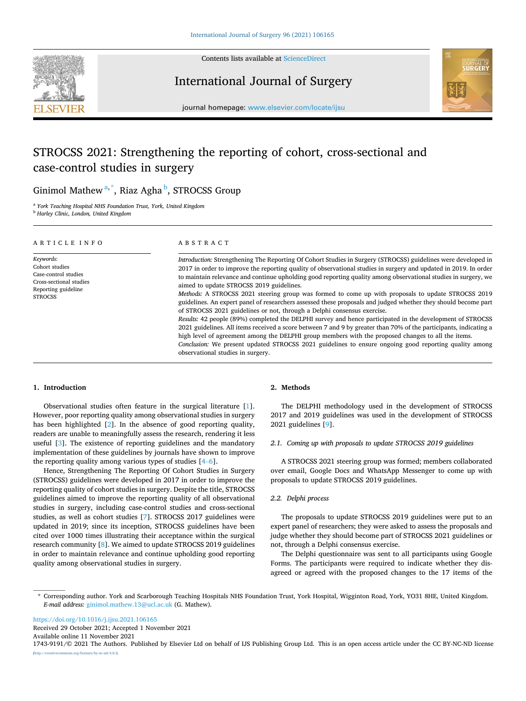

Contents lists available at [ScienceDirect](www.sciencedirect.com/science/journal/17439191)

## International Journal of Surgery



journal homepage: [www.elsevier.com/locate/ijsu](https://www.elsevier.com/locate/ijsu)

# STROCSS 2021: Strengthening the reporting of cohort, cross-sectional and case-control studies in surgery

## Ginimol Mathew<sup>a,\*</sup>, Riaz Agha<sup>b</sup>, STROCSS Group

<sup>a</sup> *York Teaching Hospital NHS Foundation Trust, York, United Kingdom* <sup>b</sup> *Harley Clinic, London, United Kingdom* 

| ARTICLE INFO                                                                                                            | ABSTRACT                                                                                                                                                                                                                                                                                                                                                                                                                                                                                                                                                                                                                                                                                                                                                                                                                                                                                                                                                                                                                                                                                                                                                                                 |
|-------------------------------------------------------------------------------------------------------------------------|------------------------------------------------------------------------------------------------------------------------------------------------------------------------------------------------------------------------------------------------------------------------------------------------------------------------------------------------------------------------------------------------------------------------------------------------------------------------------------------------------------------------------------------------------------------------------------------------------------------------------------------------------------------------------------------------------------------------------------------------------------------------------------------------------------------------------------------------------------------------------------------------------------------------------------------------------------------------------------------------------------------------------------------------------------------------------------------------------------------------------------------------------------------------------------------|
| Keywords:<br>Cohort studies<br>Case-control studies<br>Cross-sectional studies<br>Reporting guideline<br><b>STROCSS</b> | Introduction: Strengthening The Reporting Of Cohort Studies in Surgery (STROCSS) guidelines were developed in<br>2017 in order to improve the reporting quality of observational studies in surgery and updated in 2019. In order<br>to maintain relevance and continue upholding good reporting quality among observational studies in surgery, we<br>aimed to update STROCSS 2019 guidelines.<br>Methods: A STROCSS 2021 steering group was formed to come up with proposals to update STROCSS 2019<br>guidelines. An expert panel of researchers assessed these proposals and judged whether they should become part<br>of STROCSS 2021 guidelines or not, through a Delphi consensus exercise.<br>Results: 42 people (89%) completed the DELPHI survey and hence participated in the development of STROCSS<br>2021 guidelines. All items received a score between 7 and 9 by greater than 70% of the participants, indicating a<br>high level of agreement among the DELPHI group members with the proposed changes to all the items.<br>Conclusion: We present updated STROCSS 2021 guidelines to ensure ongoing good reporting quality among<br>observational studies in surgery. |

#### **1. Introduction**

Observational studies often feature in the surgical literature [[1](#page-3-0)]. However, poor reporting quality among observational studies in surgery has been highlighted [[2](#page-3-0)]. In the absence of good reporting quality, readers are unable to meaningfully assess the research, rendering it less useful [[3](#page-3-0)]. The existence of reporting guidelines and the mandatory implementation of these guidelines by journals have shown to improve the reporting quality among various types of studies [\[4](#page-3-0)–6].

Hence, Strengthening The Reporting Of Cohort Studies in Surgery (STROCSS) guidelines were developed in 2017 in order to improve the reporting quality of cohort studies in surgery. Despite the title, STROCSS guidelines aimed to improve the reporting quality of all observational studies in surgery, including case-control studies and cross-sectional studies, as well as cohort studies [\[7\]](#page-4-0). STROCSS 2017 guidelines were updated in 2019; since its inception, STROCSS guidelines have been cited over 1000 times illustrating their acceptance within the surgical research community [\[8\]](#page-4-0). We aimed to update STROCSS 2019 guidelines in order to maintain relevance and continue upholding good reporting quality among observational studies in surgery.

## **2. Methods**

The DELPHI methodology used in the development of STROCSS 2017 and 2019 guidelines was used in the development of STROCSS 2021 guidelines [[9](#page-4-0)].

## *2.1. Coming up with proposals to update STROCSS 2019 guidelines*

A STROCSS 2021 steering group was formed; members collaborated over email, Google Docs and WhatsApp Messenger to come up with proposals to update STROCSS 2019 guidelines.

#### *2.2. Delphi process*

The proposals to update STROCSS 2019 guidelines were put to an expert panel of researchers; they were asked to assess the proposals and judge whether they should become part of STROCSS 2021 guidelines or not, through a Delphi consensus exercise.

The Delphi questionnaire was sent to all participants using Google Forms. The participants were required to indicate whether they disagreed or agreed with the proposed changes to the 17 items of the

<https://doi.org/10.1016/j.ijsu.2021.106165>

Available online 11 November 2021 Received 29 October 2021; Accepted 1 November 2021

1743-9191/© 2021 The Authors. Published by Elsevier Ltd on behalf of IJS Publishing Group Ltd. This is an open access article under the CC BY-NC-ND license  $\text{End}/4.0/$ ).

<sup>\*</sup> Corresponding author. York and Scarborough Teaching Hospitals NHS Foundation Trust, York Hospital, Wigginton Road, York, YO31 8HE, United Kingdom. *E-mail address:* [ginimol.mathew.13@ucl.ac.uk](mailto:ginimol.mathew.13@ucl.ac.uk) (G. Mathew).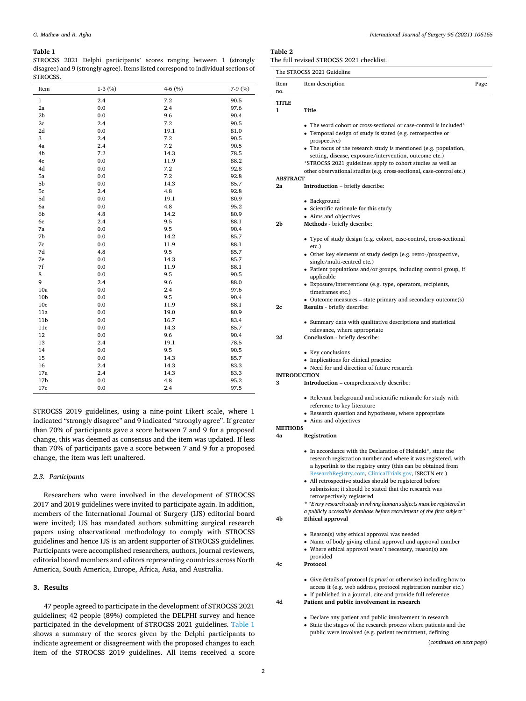#### <span id="page-1-0"></span>**Table 1**

STROCSS 2021 Delphi participants' scores ranging between 1 (strongly disagree) and 9 (strongly agree). Items listed correspond to individual sections of STROCSS.

| Item            | $1-3(%)$ | 4-6 (%) | 7-9 (%) |
|-----------------|----------|---------|---------|
| $\mathbf{1}$    | 2.4      | 7.2     | 90.5    |
| 2a              | 0.0      | 2.4     | 97.6    |
| 2 <sub>b</sub>  | 0.0      | 9.6     | 90.4    |
| 2c              | 2.4      | 7.2     | 90.5    |
| 2d              | 0.0      | 19.1    | 81.0    |
| 3               | 2.4      | 7.2     | 90.5    |
| 4a              | 2.4      | 7.2     | 90.5    |
| 4b              | 7.2      | 14.3    | 78.5    |
| 4c              | 0.0      | 11.9    | 88.2    |
| 4d              | 0.0      | 7.2     | 92.8    |
| 5a              | 0.0      | 7.2     | 92.8    |
| 5 <sub>b</sub>  | 0.0      | 14.3    | 85.7    |
| 5c              | 2.4      | 4.8     | 92.8    |
| 5d              | 0.0      | 19.1    | 80.9    |
| 6a              | 0.0      | 4.8     | 95.2    |
| 6b              | 4.8      | 14.2    | 80.9    |
| 6c              | 2.4      | 9.5     | 88.1    |
| 7a              | 0.0      | 9.5     | 90.4    |
| 7b              | 0.0      | 14.2    | 85.7    |
| 7c              | 0.0      | 11.9    | 88.1    |
| 7d              | 4.8      | 9.5     | 85.7    |
| 7e              | 0.0      | 14.3    | 85.7    |
| 7f              | 0.0      | 11.9    | 88.1    |
| 8               | 0.0      | 9.5     | 90.5    |
| 9               | 2.4      | 9.6     | 88.0    |
| 10a             | 0.0      | 2.4     | 97.6    |
| 10 <sub>b</sub> | 0.0      | 9.5     | 90.4    |
| 10c             | 0.0      | 11.9    | 88.1    |
| 11a             | 0.0      | 19.0    | 80.9    |
| 11 <sub>b</sub> | 0.0      | 16.7    | 83.4    |
| 11c             | 0.0      | 14.3    | 85.7    |
| 12              | 0.0      | 9.6     | 90.4    |
| 13              | 2.4      | 19.1    | 78.5    |
| 14              | 0.0      | 9.5     | 90.5    |
| 15              | 0.0      | 14.3    | 85.7    |
| 16              | 2.4      | 14.3    | 83.3    |
| 17a             | 2.4      | 14.3    | 83.3    |
| 17 <sub>b</sub> | 0.0      | 4.8     | 95.2    |
| 17c             | 0.0      | 2.4     | 97.5    |

STROCSS 2019 guidelines, using a nine-point Likert scale, where 1 indicated "strongly disagree" and 9 indicated "strongly agree". If greater than 70% of participants gave a score between 7 and 9 for a proposed change, this was deemed as consensus and the item was updated. If less than 70% of participants gave a score between 7 and 9 for a proposed change, the item was left unaltered.

## *2.3. Participants*

Researchers who were involved in the development of STROCSS 2017 and 2019 guidelines were invited to participate again. In addition, members of the International Journal of Surgery (IJS) editorial board were invited; IJS has mandated authors submitting surgical research papers using observational methodology to comply with STROCSS guidelines and hence IJS is an ardent supporter of STROCSS guidelines. Participants were accomplished researchers, authors, journal reviewers, editorial board members and editors representing countries across North America, South America, Europe, Africa, Asia, and Australia.

## **3. Results**

47 people agreed to participate in the development of STROCSS 2021 guidelines; 42 people (89%) completed the DELPHI survey and hence participated in the development of STROCSS 2021 guidelines. Table 1 shows a summary of the scores given by the Delphi participants to indicate agreement or disagreement with the proposed changes to each item of the STROCSS 2019 guidelines. All items received a score

## **Table 2**

The full revised STROCSS 2021 checklist.

|                 | The STROCSS 2021 Guideline                                                                                                      |      |
|-----------------|---------------------------------------------------------------------------------------------------------------------------------|------|
| Item<br>no.     | Item description                                                                                                                | Page |
| <b>TITLE</b>    |                                                                                                                                 |      |
| 1               | Title                                                                                                                           |      |
|                 | • The word cohort or cross-sectional or case-control is included*                                                               |      |
|                 | • Temporal design of study is stated (e.g. retrospective or                                                                     |      |
|                 | prospective)<br>• The focus of the research study is mentioned (e.g. population,                                                |      |
|                 | setting, disease, exposure/intervention, outcome etc.)                                                                          |      |
|                 | *STROCSS 2021 guidelines apply to cohort studies as well as                                                                     |      |
| <b>ABSTRACT</b> | other observational studies (e.g. cross-sectional, case-control etc.)                                                           |      |
| 2a              | <b>Introduction</b> – briefly describe:                                                                                         |      |
|                 | • Background                                                                                                                    |      |
|                 | • Scientific rationale for this study                                                                                           |      |
|                 | • Aims and objectives                                                                                                           |      |
| 2b              | Methods - briefly describe:                                                                                                     |      |
|                 | • Type of study design (e.g. cohort, case-control, cross-sectional<br>etc.)                                                     |      |
|                 | • Other key elements of study design (e.g. retro-/prospective,                                                                  |      |
|                 | single/multi-centred etc.)                                                                                                      |      |
|                 | • Patient populations and/or groups, including control group, if<br>applicable                                                  |      |
|                 | • Exposure/interventions (e.g. type, operators, recipients,                                                                     |      |
|                 | timeframes etc.)<br>$\bullet$ Outcome measures – state primary and secondary outcome(s)                                         |      |
| 2c              | Results - briefly describe:                                                                                                     |      |
|                 | • Summary data with qualitative descriptions and statistical                                                                    |      |
|                 | relevance, where appropriate                                                                                                    |      |
| 2d              | Conclusion - briefly describe:                                                                                                  |      |
|                 | • Key conclusions                                                                                                               |      |
|                 | • Implications for clinical practice<br>• Need for and direction of future research                                             |      |
|                 | <b>INTRODUCTION</b>                                                                                                             |      |
| 3               | <b>Introduction</b> – comprehensively describe:                                                                                 |      |
|                 | • Relevant background and scientific rationale for study with                                                                   |      |
|                 | reference to key literature                                                                                                     |      |
|                 | • Research question and hypotheses, where appropriate<br>• Aims and objectives                                                  |      |
| <b>METHODS</b>  |                                                                                                                                 |      |
| 4a              | Registration                                                                                                                    |      |
|                 | • In accordance with the Declaration of Helsinki*, state the                                                                    |      |
|                 | research registration number and where it was registered, with<br>a hyperlink to the registry entry (this can be obtained from  |      |
|                 | ResearchRegistry.com, ClinicalTrials.gov, ISRCTN etc.)                                                                          |      |
|                 | • All retrospective studies should be registered before                                                                         |      |
|                 | submission; it should be stated that the research was<br>retrospectively registered                                             |      |
|                 | * "Every research study involving human subjects must be registered in                                                          |      |
| 4b              | a publicly accessible database before recruitment of the first subject"<br><b>Ethical approval</b>                              |      |
|                 |                                                                                                                                 |      |
|                 | • Reason(s) why ethical approval was needed<br>• Name of body giving ethical approval and approval number                       |      |
|                 | • Where ethical approval wasn't necessary, reason(s) are                                                                        |      |
|                 | provided                                                                                                                        |      |
| 4c              | Protocol                                                                                                                        |      |
|                 | • Give details of protocol (a priori or otherwise) including how to                                                             |      |
|                 | access it (e.g. web address, protocol registration number etc.)<br>• If published in a journal, cite and provide full reference |      |
| 4d              | Patient and public involvement in research                                                                                      |      |

- Declare any patient and public involvement in research
- State the stages of the research process where patients and the public were involved (e.g. patient recruitment, defining

(*continued on next page*)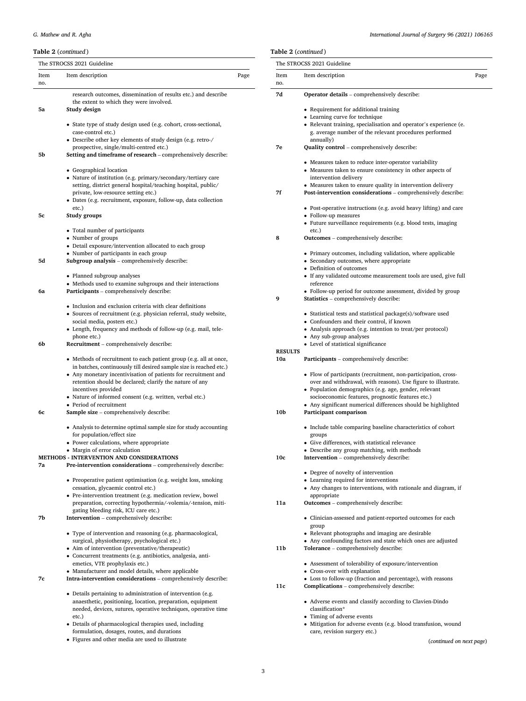## *G. Mathew and R. Agha*

## **Table 2** (*continued* )

|             | The STROCSS 2021 Guideline                                                                                                           |      |
|-------------|--------------------------------------------------------------------------------------------------------------------------------------|------|
| Item<br>no. | Item description                                                                                                                     | Page |
|             | research outcomes, dissemination of results etc.) and describe                                                                       |      |
|             | the extent to which they were involved.                                                                                              |      |
| 5a          | Study design                                                                                                                         |      |
|             | • State type of study design used (e.g. cohort, cross-sectional,                                                                     |      |
|             | case-control etc.)                                                                                                                   |      |
|             | • Describe other key elements of study design (e.g. retro-/<br>prospective, single/multi-centred etc.)                               |      |
| 5b          | Setting and timeframe of research - comprehensively describe:                                                                        |      |
|             |                                                                                                                                      |      |
|             | • Geographical location<br>• Nature of institution (e.g. primary/secondary/tertiary care                                             |      |
|             | setting, district general hospital/teaching hospital, public/                                                                        |      |
|             | private, low-resource setting etc.)                                                                                                  |      |
|             | • Dates (e.g. recruitment, exposure, follow-up, data collection                                                                      |      |
| 5c          | etc.)<br>Study groups                                                                                                                |      |
|             |                                                                                                                                      |      |
|             | • Total number of participants                                                                                                       |      |
|             | • Number of groups<br>• Detail exposure/intervention allocated to each group                                                         |      |
|             | • Number of participants in each group                                                                                               |      |
| 5d          | Subgroup analysis - comprehensively describe:                                                                                        |      |
|             |                                                                                                                                      |      |
|             | • Planned subgroup analyses<br>• Methods used to examine subgroups and their interactions                                            |      |
| 6a          | Participants - comprehensively describe:                                                                                             |      |
|             | • Inclusion and exclusion criteria with clear definitions                                                                            |      |
|             | • Sources of recruitment (e.g. physician referral, study website,                                                                    |      |
|             | social media, posters etc.)                                                                                                          |      |
|             | • Length, frequency and methods of follow-up (e.g. mail, tele-                                                                       |      |
| 6b          | phone etc.)<br>Recruitment - comprehensively describe:                                                                               |      |
|             |                                                                                                                                      |      |
|             | • Methods of recruitment to each patient group (e.g. all at once,                                                                    |      |
|             | in batches, continuously till desired sample size is reached etc.)<br>• Any monetary incentivisation of patients for recruitment and |      |
|             | retention should be declared; clarify the nature of any                                                                              |      |
|             | incentives provided                                                                                                                  |      |
|             | • Nature of informed consent (e.g. written, verbal etc.)<br>• Period of recruitment                                                  |      |
| 6с          | Sample size - comprehensively describe:                                                                                              |      |
|             |                                                                                                                                      |      |
|             | • Analysis to determine optimal sample size for study accounting<br>for population/effect size                                       |      |
|             | • Power calculations, where appropriate                                                                                              |      |
|             | • Margin of error calculation                                                                                                        |      |
|             | <b>METHODS - INTERVENTION AND CONSIDERATIONS</b>                                                                                     |      |
| 7а          | Pre-intervention considerations - comprehensively describe:                                                                          |      |
|             | • Preoperative patient optimisation (e.g. weight loss, smoking                                                                       |      |
|             | cessation, glycaemic control etc.)                                                                                                   |      |
|             | • Pre-intervention treatment (e.g. medication review, bowel<br>preparation, correcting hypothermia/-volemia/-tension, miti-          |      |
|             | gating bleeding risk, ICU care etc.)                                                                                                 |      |
| 7b          | <b>Intervention</b> – comprehensively describe:                                                                                      |      |
|             | • Type of intervention and reasoning (e.g. pharmacological,                                                                          |      |
|             | surgical, physiotherapy, psychological etc.)                                                                                         |      |
|             | • Aim of intervention (preventative/therapeutic)                                                                                     |      |
|             | • Concurrent treatments (e.g. antibiotics, analgesia, anti-                                                                          |      |
|             | emetics, VTE prophylaxis etc.)<br>• Manufacturer and model details, where applicable                                                 |      |
| 7c          | Intra-intervention considerations - comprehensively describe:                                                                        |      |
|             |                                                                                                                                      |      |
|             | • Details pertaining to administration of intervention (e.g.<br>anaesthetic, positioning, location, preparation, equipment           |      |
|             | needed, devices, sutures, operative techniques, operative time                                                                       |      |
|             | etc.)                                                                                                                                |      |

- Details of pharmacological therapies used, including formulation, dosages, routes, and durations
- Figures and other media are used to illustrate

## *International Journal of Surgery 96 (2021) 106165*

|                       | The STROCSS 2021 Guideline                                                                                             |      |
|-----------------------|------------------------------------------------------------------------------------------------------------------------|------|
| Item                  | Item description                                                                                                       | Page |
| no.                   |                                                                                                                        |      |
| 7d                    | Operator details - comprehensively describe:                                                                           |      |
|                       | • Requirement for additional training                                                                                  |      |
|                       | • Learning curve for technique<br>• Relevant training, specialisation and operator's experience (e.                    |      |
|                       | g. average number of the relevant procedures performed                                                                 |      |
|                       | annually)                                                                                                              |      |
| 7е                    | Quality control - comprehensively describe:                                                                            |      |
|                       | • Measures taken to reduce inter-operator variability                                                                  |      |
|                       | • Measures taken to ensure consistency in other aspects of                                                             |      |
|                       | intervention delivery<br>• Measures taken to ensure quality in intervention delivery                                   |      |
| 7f                    | Post-intervention considerations - comprehensively describe:                                                           |      |
|                       | • Post-operative instructions (e.g. avoid heavy lifting) and care                                                      |      |
|                       | • Follow-up measures                                                                                                   |      |
|                       | • Future surveillance requirements (e.g. blood tests, imaging<br>etc.)                                                 |      |
| 8                     | <b>Outcomes</b> – comprehensively describe:                                                                            |      |
|                       | • Primary outcomes, including validation, where applicable                                                             |      |
|                       | • Secondary outcomes, where appropriate                                                                                |      |
|                       | • Definition of outcomes                                                                                               |      |
|                       | • If any validated outcome measurement tools are used, give full<br>reference                                          |      |
|                       | • Follow-up period for outcome assessment, divided by group                                                            |      |
| 9                     | <b>Statistics</b> – comprehensively describe:                                                                          |      |
|                       | • Statistical tests and statistical package(s)/software used                                                           |      |
|                       | • Confounders and their control, if known                                                                              |      |
|                       | • Analysis approach (e.g. intention to treat/per protocol)<br>• Any sub-group analyses                                 |      |
|                       | • Level of statistical significance                                                                                    |      |
| <b>RESULTS</b><br>10a | Participants - comprehensively describe:                                                                               |      |
|                       |                                                                                                                        |      |
|                       | • Flow of participants (recruitment, non-participation, cross-                                                         |      |
|                       | over and withdrawal, with reasons). Use figure to illustrate.<br>• Population demographics (e.g. age, gender, relevant |      |
|                       | socioeconomic features, prognostic features etc.)                                                                      |      |
|                       | • Any significant numerical differences should be highlighted                                                          |      |
| 10b                   | Participant comparison                                                                                                 |      |
|                       | • Include table comparing baseline characteristics of cohort                                                           |      |
|                       | groups<br>• Give differences, with statistical relevance                                                               |      |
|                       | • Describe any group matching, with methods                                                                            |      |
| 10 <sub>c</sub>       | Intervention - comprehensively describe:                                                                               |      |
|                       | • Degree of novelty of intervention                                                                                    |      |
|                       | • Learning required for interventions                                                                                  |      |
|                       | • Any changes to interventions, with rationale and diagram, if<br>appropriate                                          |      |
| 11a                   | <b>Outcomes</b> – comprehensively describe:                                                                            |      |
|                       | • Clinician-assessed and patient-reported outcomes for each                                                            |      |
|                       | group                                                                                                                  |      |
|                       | • Relevant photographs and imaging are desirable                                                                       |      |
| 11b                   | • Any confounding factors and state which ones are adjusted<br>Tolerance - comprehensively describe:                   |      |
|                       |                                                                                                                        |      |
|                       | • Assessment of tolerability of exposure/intervention<br>• Cross-over with explanation                                 |      |
|                       |                                                                                                                        |      |
| 11c                   | • Loss to follow-up (fraction and percentage), with reasons<br>Complications - comprehensively describe:               |      |

• Adverse events and classify according to Clavien-Dindo classification\*

- Timing of adverse events
- Mitigation for adverse events (e.g. blood transfusion, wound care, revision surgery etc.)

(*continued on next page*)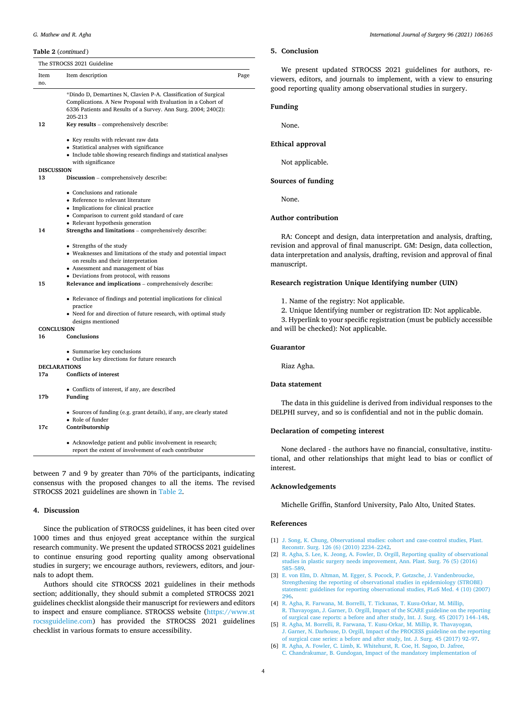#### <span id="page-3-0"></span>**Table 2** (*continued* )

|                         | The STROCSS 2021 Guideline                                                                                                                                                                        |      |
|-------------------------|---------------------------------------------------------------------------------------------------------------------------------------------------------------------------------------------------|------|
| Item<br>no.             | Item description                                                                                                                                                                                  | Page |
|                         | *Dindo D, Demartines N, Clavien P-A. Classification of Surgical<br>Complications. A New Proposal with Evaluation in a Cohort of<br>6336 Patients and Results of a Survey. Ann Surg. 2004; 240(2): |      |
| 12                      | 205-213<br>Key results – comprehensively describe:                                                                                                                                                |      |
|                         | • Key results with relevant raw data                                                                                                                                                              |      |
|                         | • Statistical analyses with significance<br>• Include table showing research findings and statistical analyses                                                                                    |      |
|                         | with significance                                                                                                                                                                                 |      |
| <b>DISCUSSION</b><br>13 | Discussion - comprehensively describe:                                                                                                                                                            |      |
|                         | • Conclusions and rationale                                                                                                                                                                       |      |
|                         | • Reference to relevant literature                                                                                                                                                                |      |
|                         | • Implications for clinical practice                                                                                                                                                              |      |
|                         | • Comparison to current gold standard of care                                                                                                                                                     |      |
| 14                      | • Relevant hypothesis generation<br>Strengths and limitations - comprehensively describe:                                                                                                         |      |
|                         | • Strengths of the study                                                                                                                                                                          |      |
|                         | • Weaknesses and limitations of the study and potential impact                                                                                                                                    |      |
|                         | on results and their interpretation                                                                                                                                                               |      |
|                         | • Assessment and management of bias<br>• Deviations from protocol, with reasons                                                                                                                   |      |
| 15                      | Relevance and implications - comprehensively describe:                                                                                                                                            |      |
|                         | • Relevance of findings and potential implications for clinical<br>practice                                                                                                                       |      |
|                         | • Need for and direction of future research, with optimal study<br>designs mentioned                                                                                                              |      |
| <b>CONCLUSION</b>       |                                                                                                                                                                                                   |      |
| 16                      | Conclusions                                                                                                                                                                                       |      |
|                         | • Summarise key conclusions                                                                                                                                                                       |      |
|                         | • Outline key directions for future research<br><b>DECLARATIONS</b>                                                                                                                               |      |
| 17a                     | <b>Conflicts of interest</b>                                                                                                                                                                      |      |
| 17b                     | • Conflicts of interest, if any, are described<br>Funding                                                                                                                                         |      |
| 17c                     | • Sources of funding (e.g. grant details), if any, are clearly stated<br>• Role of funder<br>Contributorship                                                                                      |      |
|                         | • Acknowledge patient and public involvement in research;                                                                                                                                         |      |
|                         | report the extent of involvement of each contributor                                                                                                                                              |      |

between 7 and 9 by greater than 70% of the participants, indicating consensus with the proposed changes to all the items. The revised STROCSS 2021 guidelines are shown in [Table 2](#page-1-0).

#### **4. Discussion**

Since the publication of STROCSS guidelines, it has been cited over 1000 times and thus enjoyed great acceptance within the surgical research community. We present the updated STROCSS 2021 guidelines to continue ensuring good reporting quality among observational studies in surgery; we encourage authors, reviewers, editors, and journals to adopt them.

Authors should cite STROCSS 2021 guidelines in their methods section; additionally, they should submit a completed STROCSS 2021 guidelines checklist alongside their manuscript for reviewers and editors to inspect and ensure compliance. STROCSS website [\(https://www.st](https://www.strocssguideline.com/)  [rocssguideline.com\)](https://www.strocssguideline.com/) has provided the STROCSS 2021 guidelines checklist in various formats to ensure accessibility.

## **5. Conclusion**

We present updated STROCSS 2021 guidelines for authors, reviewers, editors, and journals to implement, with a view to ensuring good reporting quality among observational studies in surgery.

#### **Funding**

None.

#### **Ethical approval**

Not applicable.

#### **Sources of funding**

None.

### **Author contribution**

RA: Concept and design, data interpretation and analysis, drafting, revision and approval of final manuscript. GM: Design, data collection, data interpretation and analysis, drafting, revision and approval of final manuscript.

### **Research registration Unique Identifying number (UIN)**

1. Name of the registry: Not applicable.

2. Unique Identifying number or registration ID: Not applicable.

3. Hyperlink to your specific registration (must be publicly accessible and will be checked): Not applicable.

#### **Guarantor**

Riaz Agha.

## **Data statement**

The data in this guideline is derived from individual responses to the DELPHI survey, and so is confidential and not in the public domain.

### **Declaration of competing interest**

None declared - the authors have no financial, consultative, institutional, and other relationships that might lead to bias or conflict of interest.

## **Acknowledgements**

Michelle Griffin, Stanford University, Palo Alto, United States.

#### **References**

- [1] [J. Song, K. Chung, Observational studies: cohort and case-control studies, Plast.](http://refhub.elsevier.com/S1743-9191(21)00300-9/sref1)  [Reconstr. Surg. 126 \(6\) \(2010\) 2234](http://refhub.elsevier.com/S1743-9191(21)00300-9/sref1)–2242.
- [2] R. Agha, S. Lee, K. Jeong, A. Fowler, D. Orgill, Reporting quality of observational [studies in plastic surgery needs improvement, Ann. Plast. Surg. 76 \(5\) \(2016\)](http://refhub.elsevier.com/S1743-9191(21)00300-9/sref2)  585–[589](http://refhub.elsevier.com/S1743-9191(21)00300-9/sref2).
- [3] [E. von Elm, D. Altman, M. Egger, S. Pocock, P. G](http://refhub.elsevier.com/S1743-9191(21)00300-9/sref3)øtzsche, J. Vandenbroucke, [Strengthening the reporting of observational studies in epidemiology \(STROBE\)](http://refhub.elsevier.com/S1743-9191(21)00300-9/sref3)  [statement: guidelines for reporting observational studies, PLoS Med. 4 \(10\) \(2007\)](http://refhub.elsevier.com/S1743-9191(21)00300-9/sref3) [296](http://refhub.elsevier.com/S1743-9191(21)00300-9/sref3).
- [4] [R. Agha, R. Farwana, M. Borrelli, T. Tickunas, T. Kusu-Orkar, M. Millip,](http://refhub.elsevier.com/S1743-9191(21)00300-9/sref4)  [R. Thavayogan, J. Garner, D. Orgill, Impact of the SCARE guideline on the reporting](http://refhub.elsevier.com/S1743-9191(21)00300-9/sref4)  [of surgical case reports: a before and after study, Int. J. Surg. 45 \(2017\) 144](http://refhub.elsevier.com/S1743-9191(21)00300-9/sref4)–148.
- [5] [R. Agha, M. Borrelli, R. Farwana, T. Kusu-Orkar, M. Millip, R. Thavayogan,](http://refhub.elsevier.com/S1743-9191(21)00300-9/sref5) [J. Garner, N. Darhouse, D. Orgill, Impact of the PROCESS guideline on the reporting](http://refhub.elsevier.com/S1743-9191(21)00300-9/sref5)  [of surgical case series: a before and after study, Int. J. Surg. 45 \(2017\) 92](http://refhub.elsevier.com/S1743-9191(21)00300-9/sref5)–97.
- [6] [R. Agha, A. Fowler, C. Limb, K. Whitehurst, R. Coe, H. Sagoo, D. Jafree,](http://refhub.elsevier.com/S1743-9191(21)00300-9/sref6) [C. Chandrakumar, B. Gundogan, Impact of the mandatory implementation of](http://refhub.elsevier.com/S1743-9191(21)00300-9/sref6)